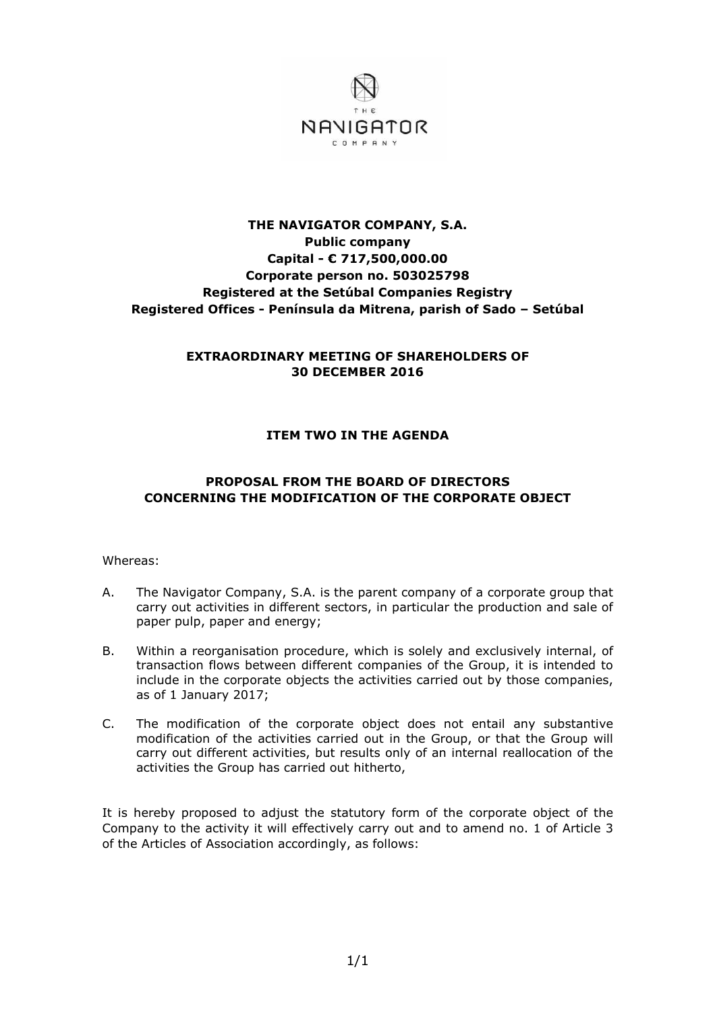

# **THE NAVIGATOR COMPANY, S.A. Public company Capital - € 717,500,000.00 Corporate person no. 503025798 Registered at the Setúbal Companies Registry Registered Offices - Península da Mitrena, parish of Sado – Setúbal**

### **EXTRAORDINARY MEETING OF SHAREHOLDERS OF 30 DECEMBER 2016**

# **ITEM TWO IN THE AGENDA**

# **PROPOSAL FROM THE BOARD OF DIRECTORS CONCERNING THE MODIFICATION OF THE CORPORATE OBJECT**

#### Whereas:

- A. The Navigator Company, S.A. is the parent company of a corporate group that carry out activities in different sectors, in particular the production and sale of paper pulp, paper and energy;
- B. Within a reorganisation procedure, which is solely and exclusively internal, of transaction flows between different companies of the Group, it is intended to include in the corporate objects the activities carried out by those companies, as of 1 January 2017;
- C. The modification of the corporate object does not entail any substantive modification of the activities carried out in the Group, or that the Group will carry out different activities, but results only of an internal reallocation of the activities the Group has carried out hitherto,

It is hereby proposed to adjust the statutory form of the corporate object of the Company to the activity it will effectively carry out and to amend no. 1 of Article 3 of the Articles of Association accordingly, as follows: